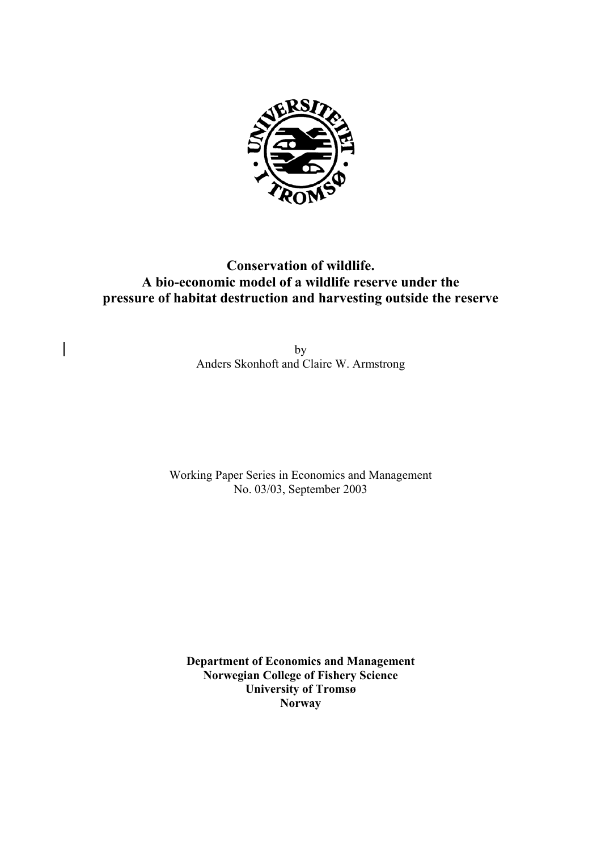

# **Conservation of wildlife. A bio-economic model of a wildlife reserve under the pressure of habitat destruction and harvesting outside the reserve**

by Anders Skonhoft and Claire W. Armstrong

 $\overline{\phantom{a}}$ 

Working Paper Series in Economics and Management No. 03/03, September 2003

**Department of Economics and Management Norwegian College of Fishery Science University of Tromsø Norway**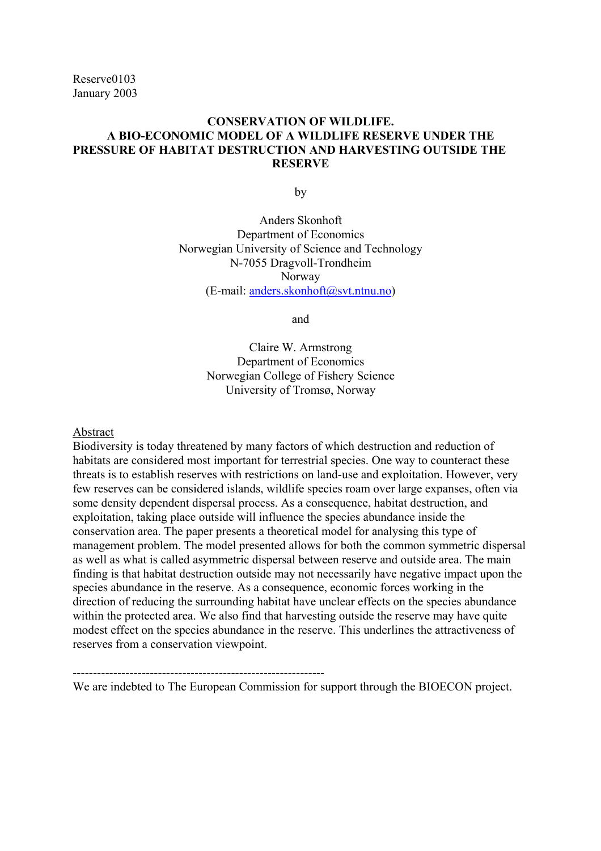Reserve0103 January 2003

# **CONSERVATION OF WILDLIFE. A BIO-ECONOMIC MODEL OF A WILDLIFE RESERVE UNDER THE PRESSURE OF HABITAT DESTRUCTION AND HARVESTING OUTSIDE THE RESERVE**

**by** 

 Anders Skonhoft Department of Economics Norwegian University of Science and Technology N-7055 Dragvoll-Trondheim Norway (E-mail: anders.skonhoft@svt.ntnu.no)

and

Claire W. Armstrong Department of Economics Norwegian College of Fishery Science University of Tromsø, Norway

Abstract

Biodiversity is today threatened by many factors of which destruction and reduction of habitats are considered most important for terrestrial species. One way to counteract these threats is to establish reserves with restrictions on land-use and exploitation. However, very few reserves can be considered islands, wildlife species roam over large expanses, often via some density dependent dispersal process. As a consequence, habitat destruction, and exploitation, taking place outside will influence the species abundance inside the conservation area. The paper presents a theoretical model for analysing this type of management problem. The model presented allows for both the common symmetric dispersal as well as what is called asymmetric dispersal between reserve and outside area. The main finding is that habitat destruction outside may not necessarily have negative impact upon the species abundance in the reserve. As a consequence, economic forces working in the direction of reducing the surrounding habitat have unclear effects on the species abundance within the protected area. We also find that harvesting outside the reserve may have quite modest effect on the species abundance in the reserve. This underlines the attractiveness of reserves from a conservation viewpoint.

We are indebted to The European Commission for support through the BIOECON project.

--------------------------------------------------------------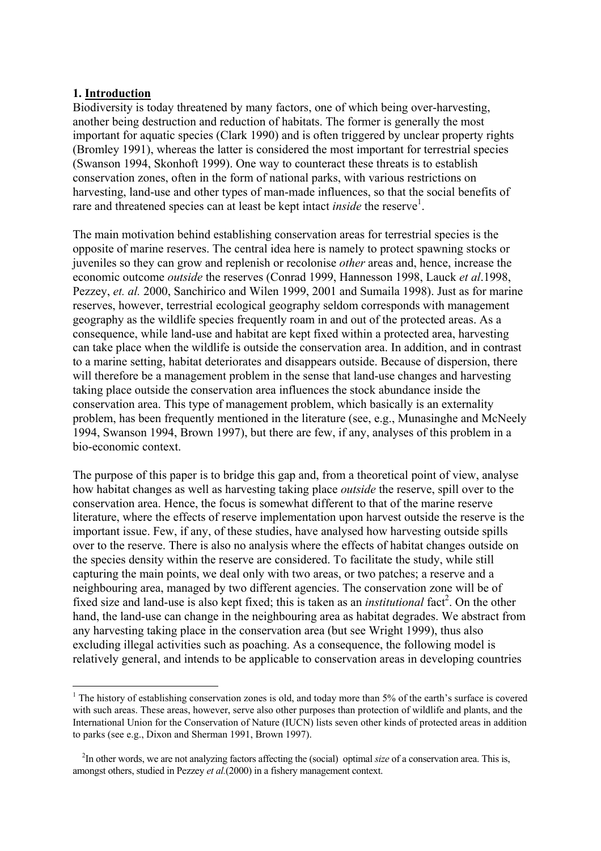### **1. Introduction**

i

Biodiversity is today threatened by many factors, one of which being over-harvesting, another being destruction and reduction of habitats. The former is generally the most important for aquatic species (Clark 1990) and is often triggered by unclear property rights (Bromley 1991), whereas the latter is considered the most important for terrestrial species (Swanson 1994, Skonhoft 1999). One way to counteract these threats is to establish conservation zones, often in the form of national parks, with various restrictions on harvesting, land-use and other types of man-made influences, so that the social benefits of rare and threatened species can at least be kept intact *inside* the reserve<sup>1</sup>.

The main motivation behind establishing conservation areas for terrestrial species is the opposite of marine reserves. The central idea here is namely to protect spawning stocks or juveniles so they can grow and replenish or recolonise *other* areas and, hence, increase the economic outcome *outside* the reserves (Conrad 1999, Hannesson 1998, Lauck *et al*.1998, Pezzey, *et. al.* 2000, Sanchirico and Wilen 1999, 2001 and Sumaila 1998). Just as for marine reserves, however, terrestrial ecological geography seldom corresponds with management geography as the wildlife species frequently roam in and out of the protected areas. As a consequence, while land-use and habitat are kept fixed within a protected area, harvesting can take place when the wildlife is outside the conservation area. In addition, and in contrast to a marine setting, habitat deteriorates and disappears outside. Because of dispersion, there will therefore be a management problem in the sense that land-use changes and harvesting taking place outside the conservation area influences the stock abundance inside the conservation area. This type of management problem, which basically is an externality problem, has been frequently mentioned in the literature (see, e.g., Munasinghe and McNeely 1994, Swanson 1994, Brown 1997), but there are few, if any, analyses of this problem in a bio-economic context.

The purpose of this paper is to bridge this gap and, from a theoretical point of view, analyse how habitat changes as well as harvesting taking place *outside* the reserve, spill over to the conservation area. Hence, the focus is somewhat different to that of the marine reserve literature, where the effects of reserve implementation upon harvest outside the reserve is the important issue. Few, if any, of these studies, have analysed how harvesting outside spills over to the reserve. There is also no analysis where the effects of habitat changes outside on the species density within the reserve are considered. To facilitate the study, while still capturing the main points, we deal only with two areas, or two patches; a reserve and a neighbouring area, managed by two different agencies. The conservation zone will be of fixed size and land-use is also kept fixed; this is taken as an *institutional* fact<sup>2</sup>. On the other hand, the land-use can change in the neighbouring area as habitat degrades. We abstract from any harvesting taking place in the conservation area (but see Wright 1999), thus also excluding illegal activities such as poaching. As a consequence, the following model is relatively general, and intends to be applicable to conservation areas in developing countries

<sup>&</sup>lt;sup>1</sup> The history of establishing conservation zones is old, and today more than 5% of the earth's surface is covered with such areas. These areas, however, serve also other purposes than protection of wildlife and plants, and the International Union for the Conservation of Nature (IUCN) lists seven other kinds of protected areas in addition to parks (see e.g., Dixon and Sherman 1991, Brown 1997).

<sup>&</sup>lt;sup>2</sup>In other words, we are not analyzing factors affecting the (social) optimal *size* of a conservation area. This is, amongst others, studied in Pezzey *et al.*(2000) in a fishery management context.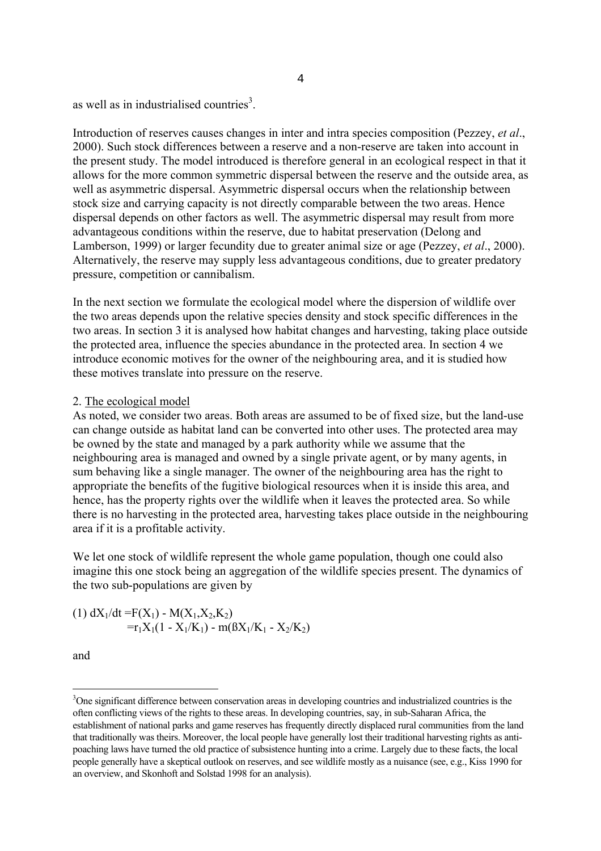as well as in industrialised countries<sup>3</sup>.

Introduction of reserves causes changes in inter and intra species composition (Pezzey, *et al*., 2000). Such stock differences between a reserve and a non-reserve are taken into account in the present study. The model introduced is therefore general in an ecological respect in that it allows for the more common symmetric dispersal between the reserve and the outside area, as well as asymmetric dispersal. Asymmetric dispersal occurs when the relationship between stock size and carrying capacity is not directly comparable between the two areas. Hence dispersal depends on other factors as well. The asymmetric dispersal may result from more advantageous conditions within the reserve, due to habitat preservation (Delong and Lamberson, 1999) or larger fecundity due to greater animal size or age (Pezzey, *et al*., 2000). Alternatively, the reserve may supply less advantageous conditions, due to greater predatory pressure, competition or cannibalism.

In the next section we formulate the ecological model where the dispersion of wildlife over the two areas depends upon the relative species density and stock specific differences in the two areas. In section 3 it is analysed how habitat changes and harvesting, taking place outside the protected area, influence the species abundance in the protected area. In section 4 we introduce economic motives for the owner of the neighbouring area, and it is studied how these motives translate into pressure on the reserve.

#### 2. The ecological model

As noted, we consider two areas. Both areas are assumed to be of fixed size, but the land-use can change outside as habitat land can be converted into other uses. The protected area may be owned by the state and managed by a park authority while we assume that the neighbouring area is managed and owned by a single private agent, or by many agents, in sum behaving like a single manager. The owner of the neighbouring area has the right to appropriate the benefits of the fugitive biological resources when it is inside this area, and hence, has the property rights over the wildlife when it leaves the protected area. So while there is no harvesting in the protected area, harvesting takes place outside in the neighbouring area if it is a profitable activity.

We let one stock of wildlife represent the whole game population, though one could also imagine this one stock being an aggregation of the wildlife species present. The dynamics of the two sub-populations are given by

(1) 
$$
dX_1/dt = F(X_1) - M(X_1, X_2, K_2)
$$
  
= $r_1X_1(1 - X_1/K_1) - m(BX_1/K_1 - X_2/K_2)$ 

and

i

<sup>&</sup>lt;sup>3</sup>One significant difference between conservation areas in developing countries and industrialized countries is the often conflicting views of the rights to these areas. In developing countries, say, in sub-Saharan Africa, the establishment of national parks and game reserves has frequently directly displaced rural communities from the land that traditionally was theirs. Moreover, the local people have generally lost their traditional harvesting rights as antipoaching laws have turned the old practice of subsistence hunting into a crime. Largely due to these facts, the local people generally have a skeptical outlook on reserves, and see wildlife mostly as a nuisance (see, e.g., Kiss 1990 for an overview, and Skonhoft and Solstad 1998 for an analysis).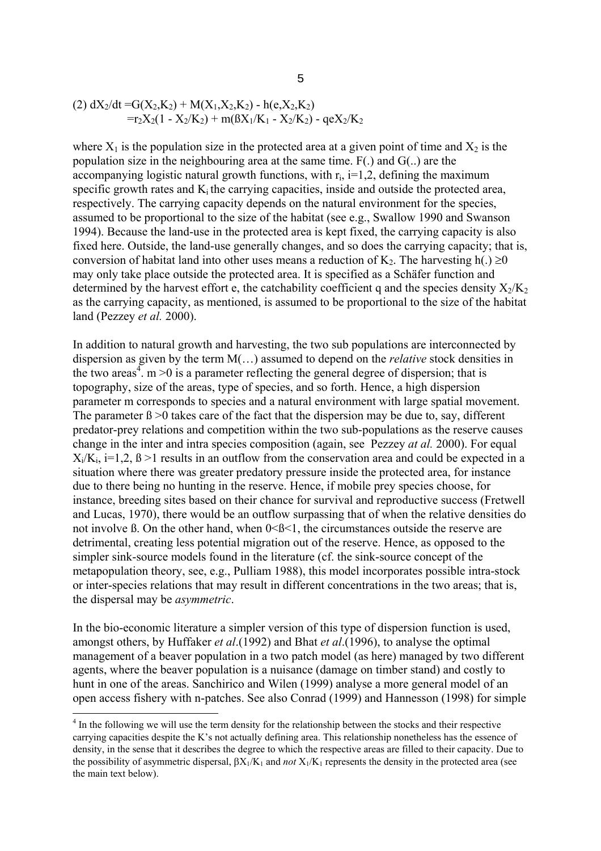(2) 
$$
dX_2/dt = G(X_2, K_2) + M(X_1, X_2, K_2) - h(e, X_2, K_2)
$$
  
= $r_2X_2(1 - X_2/K_2) + m(BX_1/K_1 - X_2/K_2) - qeX_2/K_2$ 

where  $X_1$  is the population size in the protected area at a given point of time and  $X_2$  is the population size in the neighbouring area at the same time. F(.) and G(..) are the accompanying logistic natural growth functions, with  $r_i$ ,  $i=1,2$ , defining the maximum specific growth rates and  $K_i$  the carrying capacities, inside and outside the protected area, respectively. The carrying capacity depends on the natural environment for the species, assumed to be proportional to the size of the habitat (see e.g., Swallow 1990 and Swanson 1994). Because the land-use in the protected area is kept fixed, the carrying capacity is also fixed here. Outside, the land-use generally changes, and so does the carrying capacity; that is, conversion of habitat land into other uses means a reduction of K<sub>2</sub>. The harvesting h(.)  $\geq$ 0 may only take place outside the protected area. It is specified as a Schäfer function and determined by the harvest effort e, the catchability coefficient q and the species density  $X_2/K_2$ as the carrying capacity, as mentioned, is assumed to be proportional to the size of the habitat land (Pezzey *et al.* 2000).

In addition to natural growth and harvesting, the two sub populations are interconnected by dispersion as given by the term M(…) assumed to depend on the *relative* stock densities in the two areas<sup>4</sup>. m > 0 is a parameter reflecting the general degree of dispersion; that is topography, size of the areas, type of species, and so forth. Hence, a high dispersion parameter m corresponds to species and a natural environment with large spatial movement. The parameter  $\beta > 0$  takes care of the fact that the dispersion may be due to, say, different predator-prey relations and competition within the two sub-populations as the reserve causes change in the inter and intra species composition (again, see Pezzey *at al.* 2000). For equal  $X_i/K_i$ ,  $i=1,2$ ,  $\beta > 1$  results in an outflow from the conservation area and could be expected in a situation where there was greater predatory pressure inside the protected area, for instance due to there being no hunting in the reserve. Hence, if mobile prey species choose, for instance, breeding sites based on their chance for survival and reproductive success (Fretwell and Lucas, 1970), there would be an outflow surpassing that of when the relative densities do not involve B. On the other hand, when  $0<0<1$ , the circumstances outside the reserve are detrimental, creating less potential migration out of the reserve. Hence, as opposed to the simpler sink-source models found in the literature (cf. the sink-source concept of the metapopulation theory, see, e.g., Pulliam 1988), this model incorporates possible intra-stock or inter-species relations that may result in different concentrations in the two areas; that is, the dispersal may be *asymmetric*.

In the bio-economic literature a simpler version of this type of dispersion function is used, amongst others, by Huffaker *et al*.(1992) and Bhat *et al*.(1996), to analyse the optimal management of a beaver population in a two patch model (as here) managed by two different agents, where the beaver population is a nuisance (damage on timber stand) and costly to hunt in one of the areas. Sanchirico and Wilen (1999) analyse a more general model of an open access fishery with n-patches. See also Conrad (1999) and Hannesson (1998) for simple

<sup>&</sup>lt;sup>4</sup> In the following we will use the term density for the relationship between the stocks and their respective carrying capacities despite the K's not actually defining area. This relationship nonetheless has the essence of density, in the sense that it describes the degree to which the respective areas are filled to their capacity. Due to the possibility of asymmetric dispersal, βX1/K1 and *not* X1/K1 represents the density in the protected area (see the main text below).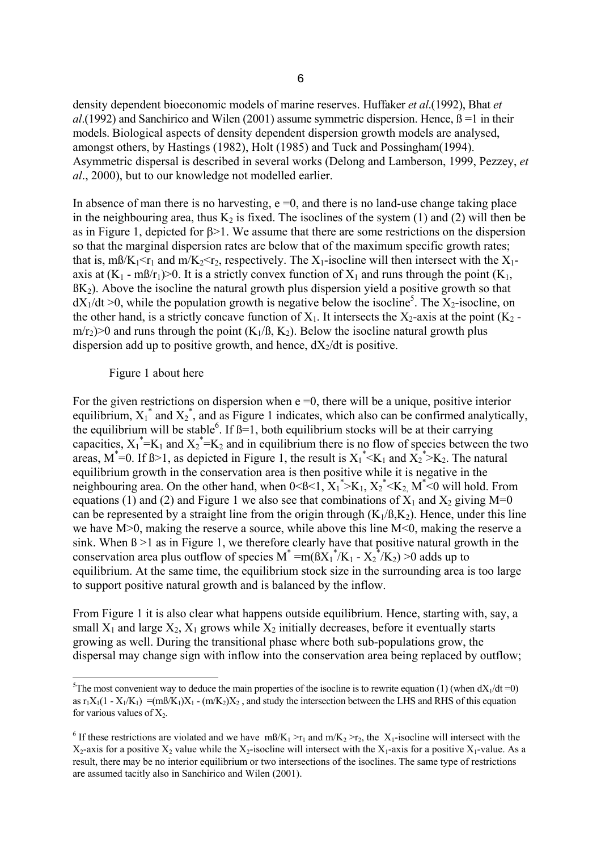density dependent bioeconomic models of marine reserves. Huffaker *et al*.(1992), Bhat *et al*.(1992) and Sanchirico and Wilen (2001) assume symmetric dispersion. Hence, ß =1 in their models. Biological aspects of density dependent dispersion growth models are analysed, amongst others, by Hastings (1982), Holt (1985) and Tuck and Possingham(1994). Asymmetric dispersal is described in several works (Delong and Lamberson, 1999, Pezzey, *et al*., 2000), but to our knowledge not modelled earlier.

In absence of man there is no harvesting,  $e = 0$ , and there is no land-use change taking place in the neighbouring area, thus  $K_2$  is fixed. The isoclines of the system (1) and (2) will then be as in Figure 1, depicted for β>1. We assume that there are some restrictions on the dispersion so that the marginal dispersion rates are below that of the maximum specific growth rates; that is, m $B/K_1 \le r_1$  and m/K<sub>2</sub> $\le r_2$ , respectively. The X<sub>1</sub>-isocline will then intersect with the X<sub>1</sub>axis at  $(K_1 - m\beta/r_1) > 0$ . It is a strictly convex function of  $X_1$  and runs through the point  $(K_1,$  $B_{1}(K_{2})$ . Above the isocline the natural growth plus dispersion yield a positive growth so that  $dX_1/dt > 0$ , while the population growth is negative below the isocline<sup>5</sup>. The  $X_2$ -isocline, on the other hand, is a strictly concave function of  $X_1$ . It intersects the  $X_2$ -axis at the point  $(K_2$  $m/r_2$ )>0 and runs through the point (K<sub>1</sub>/ß, K<sub>2</sub>). Below the isocline natural growth plus dispersion add up to positive growth, and hence,  $\frac{dX}{dt}$  is positive.

#### Figure 1 about here

For the given restrictions on dispersion when  $e = 0$ , there will be a unique, positive interior equilibrium,  $X_1^*$  and  $X_2^*$ , and as Figure 1 indicates, which also can be confirmed analytically, the equilibrium will be stable<sup>6</sup>. If  $\beta=1$ , both equilibrium stocks will be at their carrying capacities,  $X_1^* = K_1$  and  $X_2^* = K_2$  and in equilibrium there is no flow of species between the two areas,  $M^*=0$ . If  $\beta > 1$ , as depicted in Figure 1, the result is  $X_1^*< K_1$  and  $X_2^* > K_2$ . The natural equilibrium growth in the conservation area is then positive while it is negative in the neighbouring area. On the other hand, when  $0 < B < 1$ ,  $X_1^* > K_1$ ,  $X_2^* < K_2$ ,  $M^* < 0$  will hold. From equations (1) and (2) and Figure 1 we also see that combinations of  $X_1$  and  $X_2$  giving M=0 can be represented by a straight line from the origin through  $(K_1/B, K_2)$ . Hence, under this line we have  $M>0$ , making the reserve a source, while above this line  $M<0$ , making the reserve a sink. When ß >1 as in Figure 1, we therefore clearly have that positive natural growth in the conservation area plus outflow of species  $M^* = m(BX_1^* / K_1 - X_2^* / K_2) > 0$  adds up to equilibrium. At the same time, the equilibrium stock size in the surrounding area is too large to support positive natural growth and is balanced by the inflow.

From Figure 1 it is also clear what happens outside equilibrium. Hence, starting with, say, a small  $X_1$  and large  $X_2$ ,  $X_1$  grows while  $X_2$  initially decreases, before it eventually starts growing as well. During the transitional phase where both sub-populations grow, the dispersal may change sign with inflow into the conservation area being replaced by outflow;

i<br>L <sup>5</sup>The most convenient way to deduce the main properties of the isocline is to rewrite equation (1) (when  $dX_1/dt = 0$ ) as  $r_1X_1(1 - X_1/K_1) = (m\frac{8}{K_1})X_1 - (m\frac{K_2}{X_2})X_2$ , and study the intersection between the LHS and RHS of this equation for various values of  $X_2$ .

<sup>&</sup>lt;sup>6</sup> If these restrictions are violated and we have  $m\frac{B}{K_1} > r_1$  and  $m\frac{K_2}{r_2}$ , the  $X_1$ -isocline will intersect with the  $X_2$ -axis for a positive  $X_2$  value while the  $X_2$ -isocline will intersect with the  $X_1$ -axis for a positive  $X_1$ -value. As a result, there may be no interior equilibrium or two intersections of the isoclines. The same type of restrictions are assumed tacitly also in Sanchirico and Wilen (2001).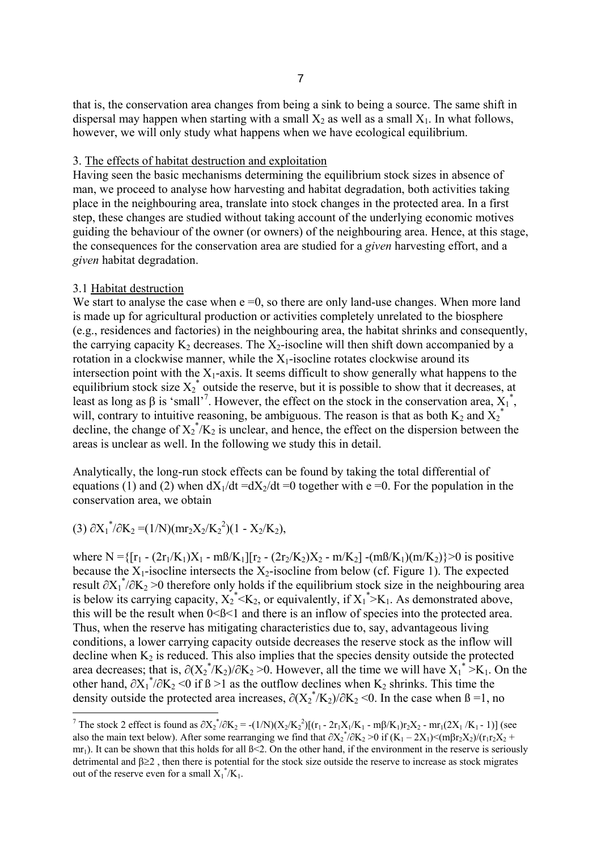that is, the conservation area changes from being a sink to being a source. The same shift in dispersal may happen when starting with a small  $X_2$  as well as a small  $X_1$ . In what follows, however, we will only study what happens when we have ecological equilibrium.

#### 3. The effects of habitat destruction and exploitation

Having seen the basic mechanisms determining the equilibrium stock sizes in absence of man, we proceed to analyse how harvesting and habitat degradation, both activities taking place in the neighbouring area, translate into stock changes in the protected area. In a first step, these changes are studied without taking account of the underlying economic motives guiding the behaviour of the owner (or owners) of the neighbouring area. Hence, at this stage, the consequences for the conservation area are studied for a *given* harvesting effort, and a *given* habitat degradation.

#### 3.1 Habitat destruction

We start to analyse the case when  $e = 0$ , so there are only land-use changes. When more land is made up for agricultural production or activities completely unrelated to the biosphere (e.g., residences and factories) in the neighbouring area, the habitat shrinks and consequently, the carrying capacity  $K_2$  decreases. The  $X_2$ -isocline will then shift down accompanied by a rotation in a clockwise manner, while the  $X_1$ -isocline rotates clockwise around its intersection point with the  $X_1$ -axis. It seems difficult to show generally what happens to the equilibrium stock size  $X_2^*$  outside the reserve, but it is possible to show that it decreases, at least as long as  $\beta$  is 'small'<sup>7</sup>. However, the effect on the stock in the conservation area,  $X_1^*$ , will, contrary to intuitive reasoning, be ambiguous. The reason is that as both  $K_2$  and  $X_2^*$ decline, the change of  $X_2^* / K_2$  is unclear, and hence, the effect on the dispersion between the areas is unclear as well. In the following we study this in detail.

Analytically, the long-run stock effects can be found by taking the total differential of equations (1) and (2) when  $dX_1/dt = dX_2/dt = 0$  together with e =0. For the population in the conservation area, we obtain

(3)  $\partial X_1^* / \partial K_2 = (1/N)(mr_2X_2/K_2^2)(1 - X_2/K_2),$ 

where N = { $[r_1 - (2r_1/K_1)X_1 - m\frac{B}{K_1}][r_2 - (2r_2/K_2)X_2 - m/K_2] - (m\frac{B}{K_1})(m/K_2)$ }>0 is positive because the  $X_1$ -isocline intersects the  $X_2$ -isocline from below (cf. Figure 1). The expected result  $\partial X_1^* / \partial K_2 > 0$  therefore only holds if the equilibrium stock size in the neighbouring area is below its carrying capacity,  $X_2^* < K_2$ , or equivalently, if  $X_1^* > K_1$ . As demonstrated above, this will be the result when 0<ß<1 and there is an inflow of species into the protected area. Thus, when the reserve has mitigating characteristics due to, say, advantageous living conditions, a lower carrying capacity outside decreases the reserve stock as the inflow will decline when  $K_2$  is reduced. This also implies that the species density outside the protected area decreases; that is,  $\partial (X_2^*/K_2)/\partial K_2 > 0$ . However, all the time we will have  $X_1^* > K_1$ . On the other hand,  $\partial X_1^* / \partial K_2 \le 0$  if  $\beta > 1$  as the outflow declines when  $K_2$  shrinks. This time the density outside the protected area increases,  $\partial (X_2^* / K_2) / \partial K_2$  <0. In the case when  $\beta = 1$ , no

<sup>&</sup>lt;sup>7</sup> The stock 2 effect is found as  $\partial X_2^*/\partial K_2 = -(1/N)(X_2/K_2^2)[(r_1 - 2r_1X_1/K_1 - m\beta/K_1)r_2X_2 - mr_1(2X_1/K_1 - 1)]$  (see also the main text below). After some rearranging we find that  $\partial X_2^* / \partial K_2 > 0$  if  $(K_1 - 2X_1) < (m\beta r_2 X_2) / (r_1 r_2 X_2 +$  $mr_1$ ). It can be shown that this holds for all  $\beta \leq 2$ . On the other hand, if the environment in the reserve is seriously detrimental and β≥2 , then there is potential for the stock size outside the reserve to increase as stock migrates out of the reserve even for a small  $X_1^* / K_1$ .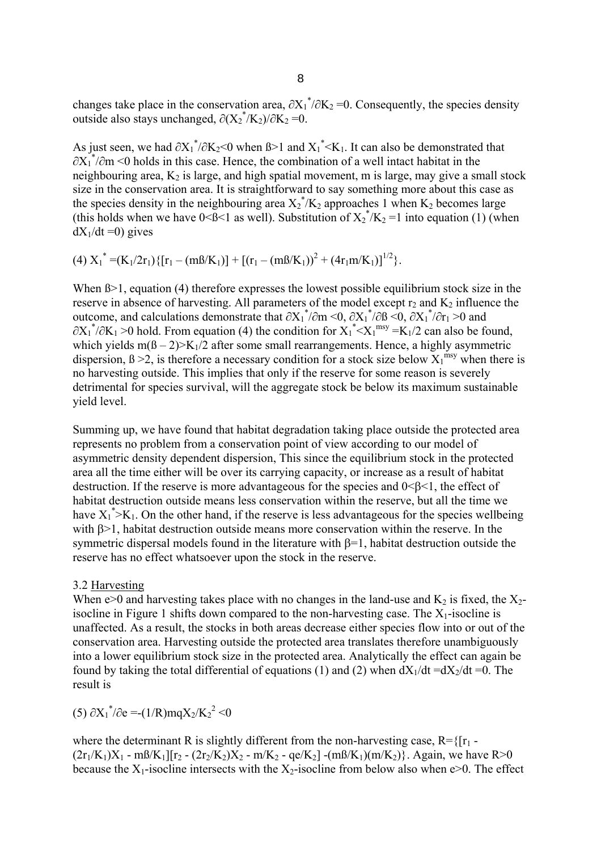changes take place in the conservation area,  $\partial X_1^* / \partial K_2 = 0$ . Consequently, the species density outside also stays unchanged,  $\partial (X_2^* / K_2) / \partial K_2 = 0$ .

As just seen, we had  $\partial X_1^* / \partial K_2$  < 0 when  $\beta$ >1 and  $X_1^*$  <  $K_1$ . It can also be demonstrated that  $\partial X_1^*/\partial m$  <0 holds in this case. Hence, the combination of a well intact habitat in the neighbouring area,  $K_2$  is large, and high spatial movement, m is large, may give a small stock size in the conservation area. It is straightforward to say something more about this case as the species density in the neighbouring area  $X_2^*/K_2$  approaches 1 when  $K_2$  becomes large (this holds when we have  $0 < \beta < 1$  as well). Substitution of  $X_2^*/K_2 = 1$  into equation (1) (when  $dX_1/dt = 0$ ) gives

(4)  $X_1^* = (K_1/2r_1)\{[r_1 - (m\beta/K_1)] + [(r_1 - (m\beta/K_1))^2 + (4r_1m/K_1)]^{1/2}\}.$ 

When  $\beta$  = 1, equation (4) therefore expresses the lowest possible equilibrium stock size in the reserve in absence of harvesting. All parameters of the model except  $r_2$  and  $K_2$  influence the outcome, and calculations demonstrate that  $\partial X_1^* / \partial m \le 0$ ,  $\partial X_1^* / \partial B \le 0$ ,  $\partial X_1^* / \partial r_1 > 0$  and  $\partial X_1^* / \partial K_1 > 0$  hold. From equation (4) the condition for  $X_1^* < X_1^{\text{msy}} = K_1/2$  can also be found, which yields  $m(B-2)$  × K<sub>1</sub>/2 after some small rearrangements. Hence, a highly asymmetric dispersion,  $\beta > 2$ , is therefore a necessary condition for a stock size below  $X_1^{msy}$  when there is no harvesting outside. This implies that only if the reserve for some reason is severely detrimental for species survival, will the aggregate stock be below its maximum sustainable yield level.

Summing up, we have found that habitat degradation taking place outside the protected area represents no problem from a conservation point of view according to our model of asymmetric density dependent dispersion, This since the equilibrium stock in the protected area all the time either will be over its carrying capacity, or increase as a result of habitat destruction. If the reserve is more advantageous for the species and  $0 \leq \beta \leq 1$ , the effect of habitat destruction outside means less conservation within the reserve, but all the time we have  $X_1^*$  >  $K_1$ . On the other hand, if the reserve is less advantageous for the species wellbeing with β>1, habitat destruction outside means more conservation within the reserve. In the symmetric dispersal models found in the literature with β=1, habitat destruction outside the reserve has no effect whatsoever upon the stock in the reserve.

#### 3.2 Harvesting

When e>0 and harvesting takes place with no changes in the land-use and  $K_2$  is fixed, the  $X_2$ isocline in Figure 1 shifts down compared to the non-harvesting case. The  $X_1$ -isocline is unaffected. As a result, the stocks in both areas decrease either species flow into or out of the conservation area. Harvesting outside the protected area translates therefore unambiguously into a lower equilibrium stock size in the protected area. Analytically the effect can again be found by taking the total differential of equations (1) and (2) when  $dX_1/dt = dX_2/dt = 0$ . The result is

(5)  $\partial X_1^* / \partial e = -(1/R)mqX_2/K_2^2 < 0$ 

where the determinant R is slightly different from the non-harvesting case,  $R = \{[r_1 (2r_1/K_1)X_1$  - m $\frac{3}{K_1}$ [ $r_2$  -  $(2r_2/K_2)X_2$  - m/K<sub>2</sub> - qe/K<sub>2</sub>] -(m $\frac{3}{K_1}$ )(m/K<sub>2</sub>)}. Again, we have R>0 because the  $X_1$ -isocline intersects with the  $X_2$ -isocline from below also when e>0. The effect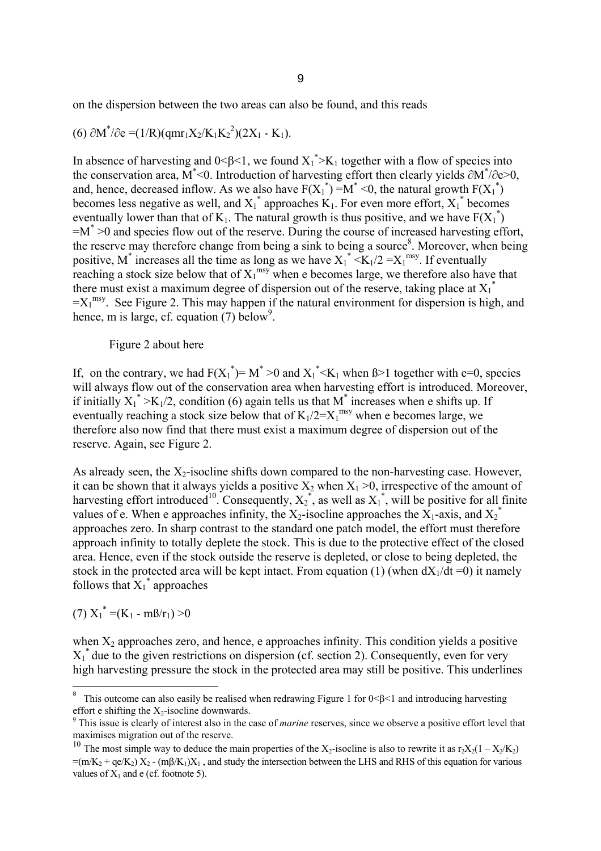on the dispersion between the two areas can also be found, and this reads

(6) 
$$
\partial M^*/\partial e = (1/R)(qmr_1X_2/K_1K_2^2)(2X_1 - K_1).
$$

In absence of harvesting and  $0<\beta<1$ , we found  $X_1^* > K_1$  together with a flow of species into the conservation area, M\* <0. Introduction of harvesting effort then clearly yields ∂M\* /∂e>0, and, hence, decreased inflow. As we also have  $F(X_1^*) = M^* < 0$ , the natural growth  $F(X_1^*)$ becomes less negative as well, and  $X_1^*$  approaches  $K_1$ . For even more effort,  $X_1^*$  becomes eventually lower than that of  $K_1$ . The natural growth is thus positive, and we have  $F(X_1^*)$  $=M^*$  >0 and species flow out of the reserve. During the course of increased harvesting effort, the reserve may therefore change from being a sink to being a source<sup>8</sup>. Moreover, when being positive, M<sup>\*</sup> increases all the time as long as we have  $X_1^* < K_1/2 = X_1^{\text{msy}}$ . If eventually reaching a stock size below that of  $X_1^{\text{msy}}$  when e becomes large, we therefore also have that there must exist a maximum degree of dispersion out of the reserve, taking place at  $X_1^*$  $=X_1^{msy}$ . See Figure 2. This may happen if the natural environment for dispersion is high, and hence, m is large, cf. equation  $(7)$  below<sup>9</sup>.

#### Figure 2 about here

If, on the contrary, we had  $F(X_1^*) = M^* > 0$  and  $X_1^* < K_1$  when  $\beta > 1$  together with e=0, species will always flow out of the conservation area when harvesting effort is introduced. Moreover, if initially  $X_1^* > K_1/2$ , condition (6) again tells us that M<sup>\*</sup> increases when e shifts up. If eventually reaching a stock size below that of  $K_1/2 = X_1^{msy}$  when e becomes large, we therefore also now find that there must exist a maximum degree of dispersion out of the reserve. Again, see Figure 2.

As already seen, the  $X_2$ -isocline shifts down compared to the non-harvesting case. However, it can be shown that it always yields a positive  $X_2$  when  $X_1 > 0$ , irrespective of the amount of harvesting effort introduced<sup>10</sup>. Consequently,  $X_2^*$ , as well as  $X_1^*$ , will be positive for all finite values of e. When e approaches infinity, the  $X_2$ -isocline approaches the  $X_1$ -axis, and  $X_2^*$ approaches zero. In sharp contrast to the standard one patch model, the effort must therefore approach infinity to totally deplete the stock. This is due to the protective effect of the closed area. Hence, even if the stock outside the reserve is depleted, or close to being depleted, the stock in the protected area will be kept intact. From equation (1) (when  $dX_1/dt = 0$ ) it namely follows that  $X_1^*$  approaches

(7) 
$$
X_1^* = (K_1 - m\beta/r_1) > 0
$$

when  $X_2$  approaches zero, and hence, e approaches infinity. This condition yields a positive  $X_1^*$  due to the given restrictions on dispersion (cf. section 2). Consequently, even for very high harvesting pressure the stock in the protected area may still be positive. This underlines

<sup>8</sup> This outcome can also easily be realised when redrawing Figure 1 for 0 ≤ β ≤ 1 and introducing harvesting effort e shifting the  $X_2$ -isocline downwards.

This issue is clearly of interest also in the case of *marine* reserves, since we observe a positive effort level that maximises migration out of the reserve.

<sup>&</sup>lt;sup>10</sup> The most simple way to deduce the main properties of the X<sub>2</sub>-isocline is also to rewrite it as r<sub>2</sub>X<sub>2</sub>(1 – X<sub>2</sub>/K<sub>2</sub>)  $=(m/K<sub>2</sub> + qe/K<sub>2</sub>) X<sub>2</sub> - (m\beta/K<sub>1</sub>) X<sub>1</sub>$ , and study the intersection between the LHS and RHS of this equation for various values of  $X_1$  and e (cf. footnote 5).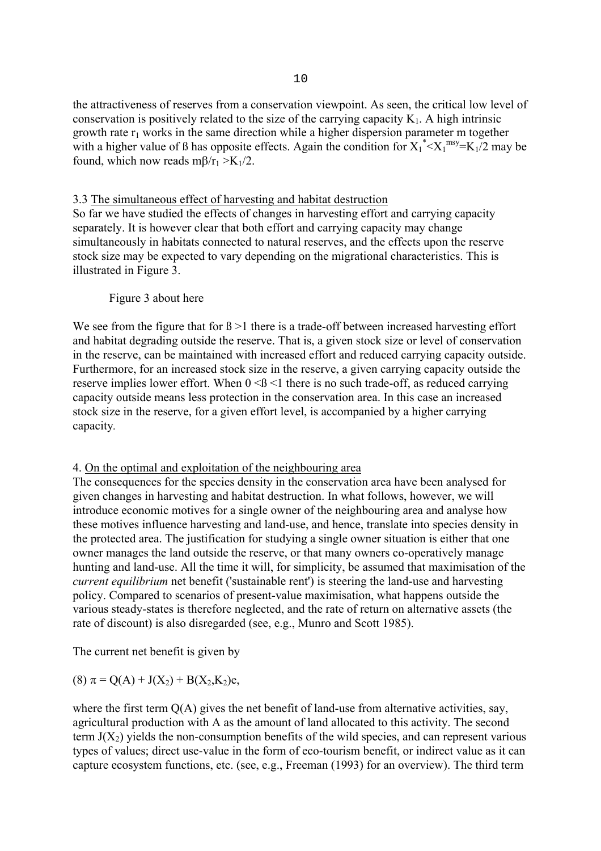### 3.3 The simultaneous effect of harvesting and habitat destruction

So far we have studied the effects of changes in harvesting effort and carrying capacity separately. It is however clear that both effort and carrying capacity may change simultaneously in habitats connected to natural reserves, and the effects upon the reserve stock size may be expected to vary depending on the migrational characteristics. This is illustrated in Figure 3.

## Figure 3 about here

We see from the figure that for  $\beta > 1$  there is a trade-off between increased harvesting effort and habitat degrading outside the reserve. That is, a given stock size or level of conservation in the reserve, can be maintained with increased effort and reduced carrying capacity outside. Furthermore, for an increased stock size in the reserve, a given carrying capacity outside the reserve implies lower effort. When  $0 \leq \beta \leq 1$  there is no such trade-off, as reduced carrying capacity outside means less protection in the conservation area. In this case an increased stock size in the reserve, for a given effort level, is accompanied by a higher carrying capacity*.* 

# 4. On the optimal and exploitation of the neighbouring area

The consequences for the species density in the conservation area have been analysed for given changes in harvesting and habitat destruction. In what follows, however, we will introduce economic motives for a single owner of the neighbouring area and analyse how these motives influence harvesting and land-use, and hence, translate into species density in the protected area. The justification for studying a single owner situation is either that one owner manages the land outside the reserve, or that many owners co-operatively manage hunting and land-use. All the time it will, for simplicity, be assumed that maximisation of the *current equilibrium* net benefit ('sustainable rent') is steering the land-use and harvesting policy. Compared to scenarios of present-value maximisation, what happens outside the various steady-states is therefore neglected, and the rate of return on alternative assets (the rate of discount) is also disregarded (see, e.g., Munro and Scott 1985).

The current net benefit is given by

(8)  $\pi = Q(A) + J(X_2) + B(X_2, K_2)e$ ,

where the first term  $O(A)$  gives the net benefit of land-use from alternative activities, say, agricultural production with A as the amount of land allocated to this activity. The second term  $J(X_2)$  yields the non-consumption benefits of the wild species, and can represent various types of values; direct use-value in the form of eco-tourism benefit, or indirect value as it can capture ecosystem functions, etc. (see, e.g., Freeman (1993) for an overview). The third term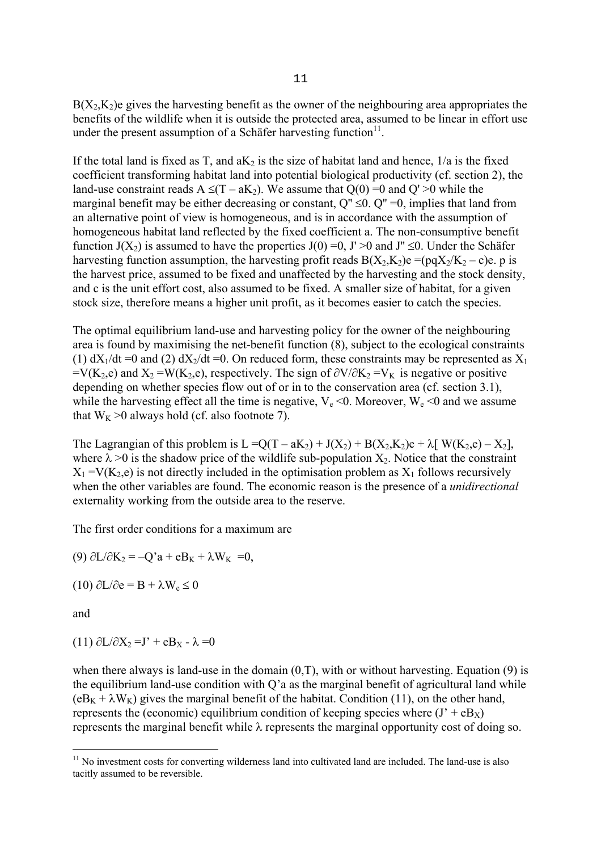$B(X_2,K_2)$ e gives the harvesting benefit as the owner of the neighbouring area appropriates the benefits of the wildlife when it is outside the protected area, assumed to be linear in effort use under the present assumption of a Schäfer harvesting function $11$ .

If the total land is fixed as T, and  $aK_2$  is the size of habitat land and hence,  $1/a$  is the fixed coefficient transforming habitat land into potential biological productivity (cf. section 2), the land-use constraint reads  $A \le (T - aK_2)$ . We assume that  $Q(0) = 0$  and  $Q' > 0$  while the marginal benefit may be either decreasing or constant,  $Q'' \le 0$ .  $Q'' = 0$ , implies that land from an alternative point of view is homogeneous, and is in accordance with the assumption of homogeneous habitat land reflected by the fixed coefficient a. The non-consumptive benefit function  $J(X_2)$  is assumed to have the properties  $J(0) = 0$ ,  $J' > 0$  and  $J'' \le 0$ . Under the Schäfer harvesting function assumption, the harvesting profit reads  $B(X_2,K_2)e = (pqX_2/K_2 - c)e$ . p is the harvest price, assumed to be fixed and unaffected by the harvesting and the stock density, and c is the unit effort cost, also assumed to be fixed. A smaller size of habitat, for a given stock size, therefore means a higher unit profit, as it becomes easier to catch the species.

The optimal equilibrium land-use and harvesting policy for the owner of the neighbouring area is found by maximising the net-benefit function (8), subject to the ecological constraints (1)  $dX_1/dt = 0$  and (2)  $dX_2/dt = 0$ . On reduced form, these constraints may be represented as  $X_1$  $=V(K_2,e)$  and  $X_2 = W(K_2,e)$ , respectively. The sign of  $\partial V/\partial K_2 = V_K$  is negative or positive depending on whether species flow out of or in to the conservation area (cf. section 3.1), while the harvesting effect all the time is negative,  $V_e \le 0$ . Moreover,  $W_e \le 0$  and we assume that  $W_K > 0$  always hold (cf. also footnote 7).

The Lagrangian of this problem is  $L = Q(T - aK_2) + J(X_2) + B(X_2, K_2)e + \lambda [W(K_2, e) - X_2]$ , where  $\lambda > 0$  is the shadow price of the wildlife sub-population  $X_2$ . Notice that the constraint  $X_1 = V(K_2,e)$  is not directly included in the optimisation problem as  $X_1$  follows recursively when the other variables are found. The economic reason is the presence of a *unidirectional*  externality working from the outside area to the reserve.

The first order conditions for a maximum are

(9)  $\partial L/\partial K_2 = -Q'a + eB_K + \lambda W_K = 0$ ,

(10)  $\partial L/\partial e = B + \lambda W_e \le 0$ 

and

(11)  $\partial$ L/ $\partial$ X<sub>2</sub> = J' + eB<sub>X</sub> -  $\lambda$  = 0

when there always is land-use in the domain  $(0,T)$ , with or without harvesting. Equation (9) is the equilibrium land-use condition with Q'a as the marginal benefit of agricultural land while  $(eB_K + \lambda W_K)$  gives the marginal benefit of the habitat. Condition (11), on the other hand, represents the (economic) equilibrium condition of keeping species where  $(J' + eB_X)$ represents the marginal benefit while λ represents the marginal opportunity cost of doing so.

i  $11$  No investment costs for converting wilderness land into cultivated land are included. The land-use is also tacitly assumed to be reversible.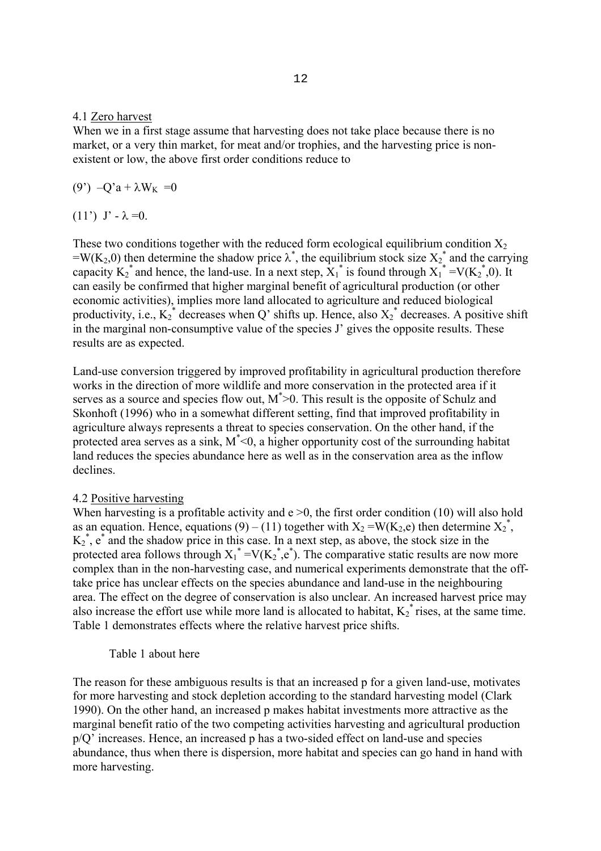#### 4.1 Zero harvest

When we in a first stage assume that harvesting does not take place because there is no market, or a very thin market, for meat and/or trophies, and the harvesting price is nonexistent or low, the above first order conditions reduce to

(9')  $-Q'a + \lambda W_K = 0$ 

(11') J' -  $λ = 0$ .

These two conditions together with the reduced form ecological equilibrium condition  $X_2$ =W(K<sub>2</sub>,0) then determine the shadow price  $\lambda^*$ , the equilibrium stock size  $X_2^*$  and the carrying capacity  $K_2^*$  and hence, the land-use. In a next step,  $\overline{X_1}^*$  is found through  $\overline{X_1}^* = V(K_2^*, 0)$ . It can easily be confirmed that higher marginal benefit of agricultural production (or other economic activities), implies more land allocated to agriculture and reduced biological productivity, i.e.,  $K_2^*$  decreases when Q' shifts up. Hence, also  $X_2^*$  decreases. A positive shift in the marginal non-consumptive value of the species J' gives the opposite results. These results are as expected.

Land-use conversion triggered by improved profitability in agricultural production therefore works in the direction of more wildlife and more conservation in the protected area if it serves as a source and species flow out,  $M^*$  > 0. This result is the opposite of Schulz and Skonhoft (1996) who in a somewhat different setting, find that improved profitability in agriculture always represents a threat to species conservation. On the other hand, if the protected area serves as a sink,  $M^*$ <0, a higher opportunity cost of the surrounding habitat land reduces the species abundance here as well as in the conservation area as the inflow declines.

### 4.2 Positive harvesting

When harvesting is a profitable activity and  $e > 0$ , the first order condition (10) will also hold as an equation. Hence, equations (9) – (11) together with  $X_2 = W(K_2,e)$  then determine  $X_2^*$ ,  $K_2^*$ ,  $e^*$  and the shadow price in this case. In a next step, as above, the stock size in the protected area follows through  $X_1^* = V(K_2^*, e^*)$ . The comparative static results are now more complex than in the non-harvesting case, and numerical experiments demonstrate that the offtake price has unclear effects on the species abundance and land-use in the neighbouring area. The effect on the degree of conservation is also unclear. An increased harvest price may also increase the effort use while more land is allocated to habitat,  $K_2^*$  rises, at the same time. Table 1 demonstrates effects where the relative harvest price shifts.

### Table 1 about here

The reason for these ambiguous results is that an increased p for a given land-use, motivates for more harvesting and stock depletion according to the standard harvesting model (Clark 1990). On the other hand, an increased p makes habitat investments more attractive as the marginal benefit ratio of the two competing activities harvesting and agricultural production p/Q' increases. Hence, an increased p has a two-sided effect on land-use and species abundance, thus when there is dispersion, more habitat and species can go hand in hand with more harvesting.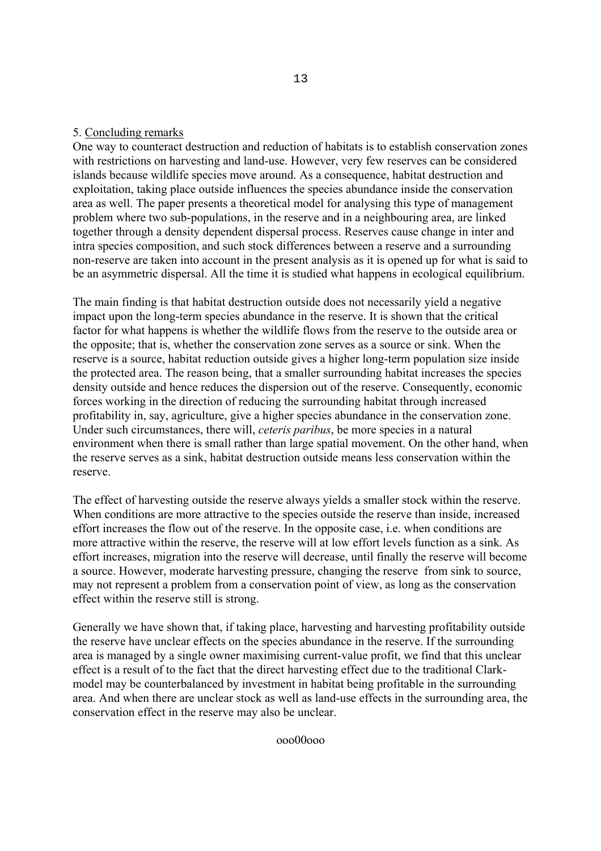### 5. Concluding remarks

One way to counteract destruction and reduction of habitats is to establish conservation zones with restrictions on harvesting and land-use. However, very few reserves can be considered islands because wildlife species move around. As a consequence, habitat destruction and exploitation, taking place outside influences the species abundance inside the conservation area as well. The paper presents a theoretical model for analysing this type of management problem where two sub-populations, in the reserve and in a neighbouring area, are linked together through a density dependent dispersal process. Reserves cause change in inter and intra species composition, and such stock differences between a reserve and a surrounding non-reserve are taken into account in the present analysis as it is opened up for what is said to be an asymmetric dispersal. All the time it is studied what happens in ecological equilibrium.

The main finding is that habitat destruction outside does not necessarily yield a negative impact upon the long-term species abundance in the reserve. It is shown that the critical factor for what happens is whether the wildlife flows from the reserve to the outside area or the opposite; that is, whether the conservation zone serves as a source or sink. When the reserve is a source, habitat reduction outside gives a higher long-term population size inside the protected area. The reason being, that a smaller surrounding habitat increases the species density outside and hence reduces the dispersion out of the reserve. Consequently, economic forces working in the direction of reducing the surrounding habitat through increased profitability in, say, agriculture, give a higher species abundance in the conservation zone. Under such circumstances, there will, *ceteris paribus*, be more species in a natural environment when there is small rather than large spatial movement. On the other hand, when the reserve serves as a sink, habitat destruction outside means less conservation within the reserve.

The effect of harvesting outside the reserve always yields a smaller stock within the reserve. When conditions are more attractive to the species outside the reserve than inside, increased effort increases the flow out of the reserve. In the opposite case, i.e. when conditions are more attractive within the reserve, the reserve will at low effort levels function as a sink. As effort increases, migration into the reserve will decrease, until finally the reserve will become a source. However, moderate harvesting pressure, changing the reserve from sink to source, may not represent a problem from a conservation point of view, as long as the conservation effect within the reserve still is strong.

Generally we have shown that, if taking place, harvesting and harvesting profitability outside the reserve have unclear effects on the species abundance in the reserve. If the surrounding area is managed by a single owner maximising current-value profit, we find that this unclear effect is a result of to the fact that the direct harvesting effect due to the traditional Clarkmodel may be counterbalanced by investment in habitat being profitable in the surrounding area. And when there are unclear stock as well as land-use effects in the surrounding area, the conservation effect in the reserve may also be unclear.

ooo00ooo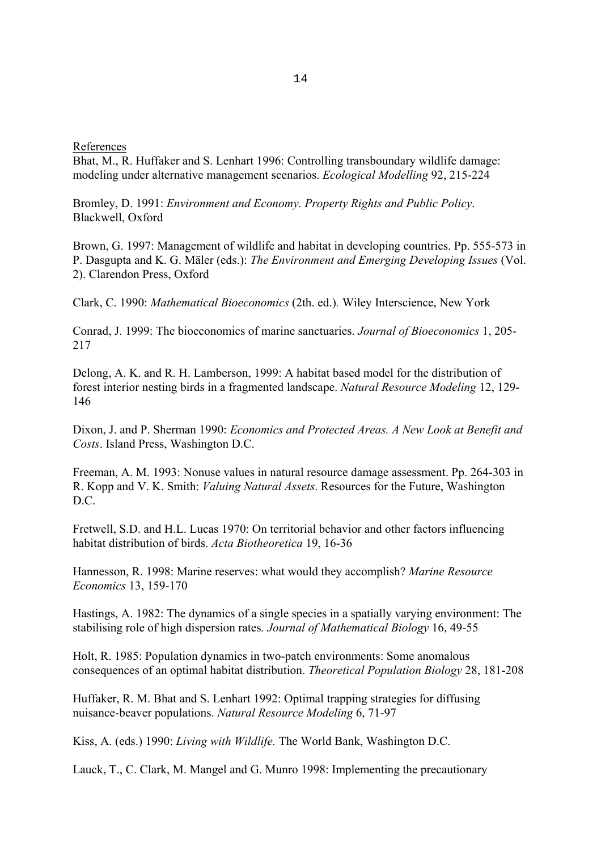#### References

Bhat, M., R. Huffaker and S. Lenhart 1996: Controlling transboundary wildlife damage: modeling under alternative management scenarios. *Ecological Modelling* 92, 215-224

Bromley, D. 1991: *Environment and Economy. Property Rights and Public Policy*. Blackwell, Oxford

Brown, G. 1997: Management of wildlife and habitat in developing countries. Pp. 555-573 in P. Dasgupta and K. G. Mäler (eds.): *The Environment and Emerging Developing Issues* (Vol. 2). Clarendon Press, Oxford

Clark, C. 1990: *Mathematical Bioeconomics* (2th. ed.)*.* Wiley Interscience, New York

Conrad, J. 1999: The bioeconomics of marine sanctuaries. *Journal of Bioeconomics* 1, 205- 217

Delong, A. K. and R. H. Lamberson, 1999: A habitat based model for the distribution of forest interior nesting birds in a fragmented landscape. *Natural Resource Modeling* 12, 129- 146

Dixon, J. and P. Sherman 1990: *Economics and Protected Areas. A New Look at Benefit and Costs*. Island Press, Washington D.C.

Freeman, A. M. 1993: Nonuse values in natural resource damage assessment. Pp. 264-303 in R. Kopp and V. K. Smith: *Valuing Natural Assets*. Resources for the Future, Washington D.C.

Fretwell, S.D. and H.L. Lucas 1970: On territorial behavior and other factors influencing habitat distribution of birds. *Acta Biotheoretica* 19, 16-36

Hannesson, R. 1998: Marine reserves: what would they accomplish? *Marine Resource Economics* 13, 159-170

Hastings, A. 1982: The dynamics of a single species in a spatially varying environment: The stabilising role of high dispersion rates*. Journal of Mathematical Biology* 16, 49-55

Holt, R. 1985: Population dynamics in two-patch environments: Some anomalous consequences of an optimal habitat distribution. *Theoretical Population Biology* 28, 181-208

Huffaker, R. M. Bhat and S. Lenhart 1992: Optimal trapping strategies for diffusing nuisance-beaver populations. *Natural Resource Modeling* 6, 71-97

Kiss, A. (eds.) 1990: *Living with Wildlife.* The World Bank, Washington D.C.

Lauck, T., C. Clark, M. Mangel and G. Munro 1998: Implementing the precautionary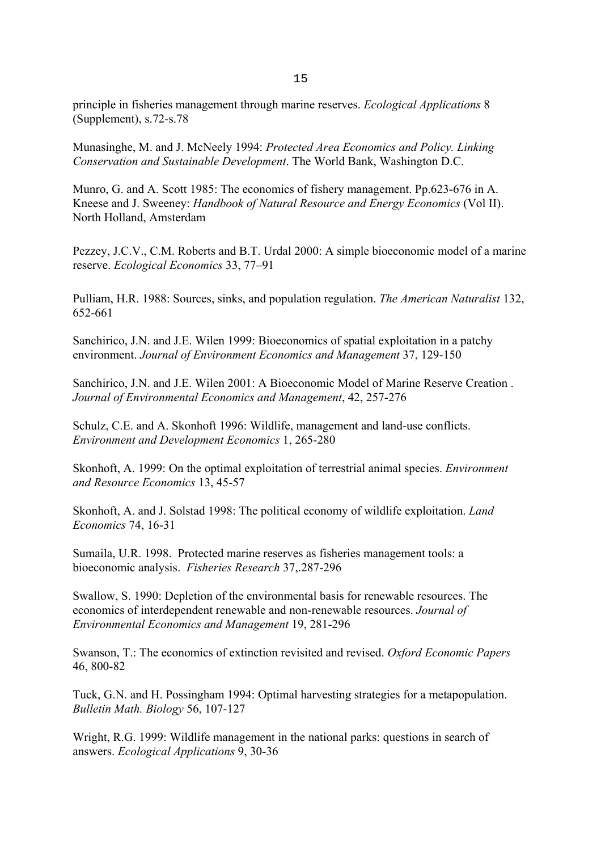principle in fisheries management through marine reserves. *Ecological Applications* 8 (Supplement), s.72-s.78

Munasinghe, M. and J. McNeely 1994: *Protected Area Economics and Policy. Linking Conservation and Sustainable Development*. The World Bank, Washington D.C.

Munro, G. and A. Scott 1985: The economics of fishery management. Pp.623-676 in A. Kneese and J. Sweeney: *Handbook of Natural Resource and Energy Economics* (Vol II). North Holland, Amsterdam

Pezzey, J.C.V., C.M. Roberts and B.T. Urdal 2000: A simple bioeconomic model of a marine reserve. *Ecological Economics* 33, 77–91

Pulliam, H.R. 1988: Sources, sinks, and population regulation. *The American Naturalist* 132, 652-661

Sanchirico, J.N. and J.E. Wilen 1999: Bioeconomics of spatial exploitation in a patchy environment. *Journal of Environment Economics and Management* 37, 129-150

Sanchirico, J.N. and J.E. Wilen 2001: A Bioeconomic Model of Marine Reserve Creation . *Journal of Environmental Economics and Management*, 42, 257-276

Schulz, C.E. and A. Skonhoft 1996: Wildlife, management and land-use conflicts. *Environment and Development Economics* 1, 265-280

Skonhoft, A. 1999: On the optimal exploitation of terrestrial animal species. *Environment and Resource Economics* 13, 45-57

Skonhoft, A. and J. Solstad 1998: The political economy of wildlife exploitation. *Land Economics* 74, 16-31

Sumaila, U.R. 1998. Protected marine reserves as fisheries management tools: a bioeconomic analysis. *Fisheries Research* 37,.287-296

Swallow, S. 1990: Depletion of the environmental basis for renewable resources. The economics of interdependent renewable and non-renewable resources. *Journal of Environmental Economics and Management* 19, 281-296

Swanson, T.: The economics of extinction revisited and revised. *Oxford Economic Papers* 46, 800-82

Tuck, G.N. and H. Possingham 1994: Optimal harvesting strategies for a metapopulation. *Bulletin Math. Biology* 56, 107-127

Wright, R.G. 1999: Wildlife management in the national parks: questions in search of answers. *Ecological Applications* 9, 30-36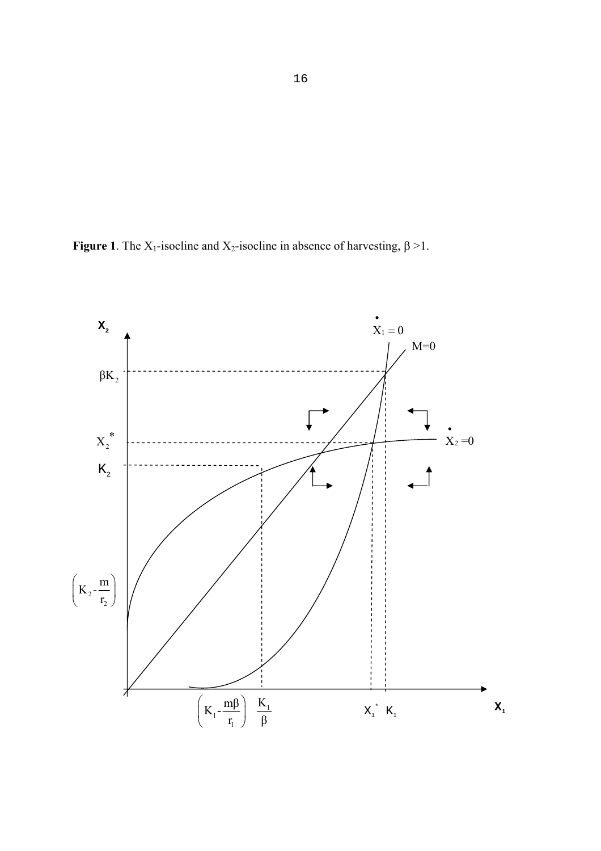**Figure 1**. The X<sub>1</sub>-isocline and X<sub>2</sub>-isocline in absence of harvesting,  $\beta > 1$ .

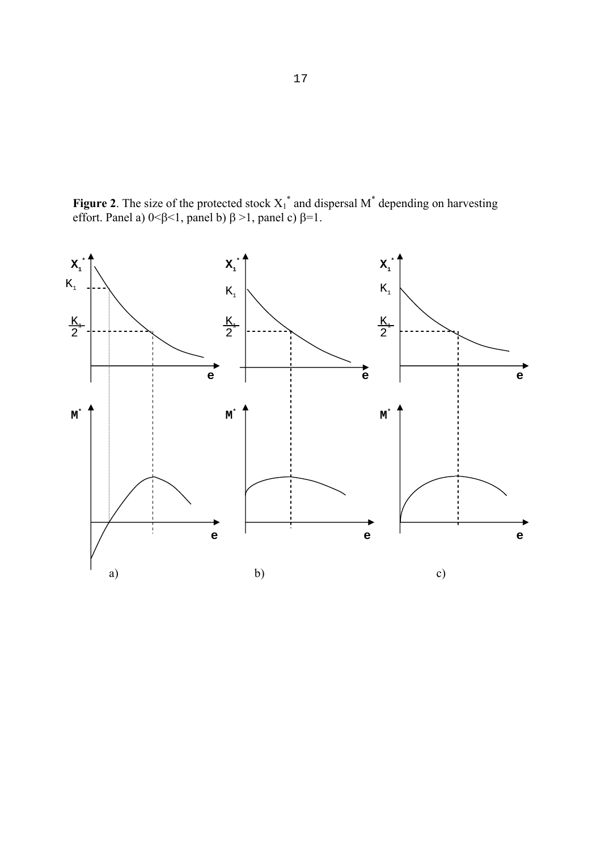**Figure 2**. The size of the protected stock  $X_1^*$  and dispersal  $M^*$  depending on harvesting effort. Panel a)  $0 < \beta < 1$ , panel b)  $\beta > 1$ , panel c)  $\beta = 1$ .

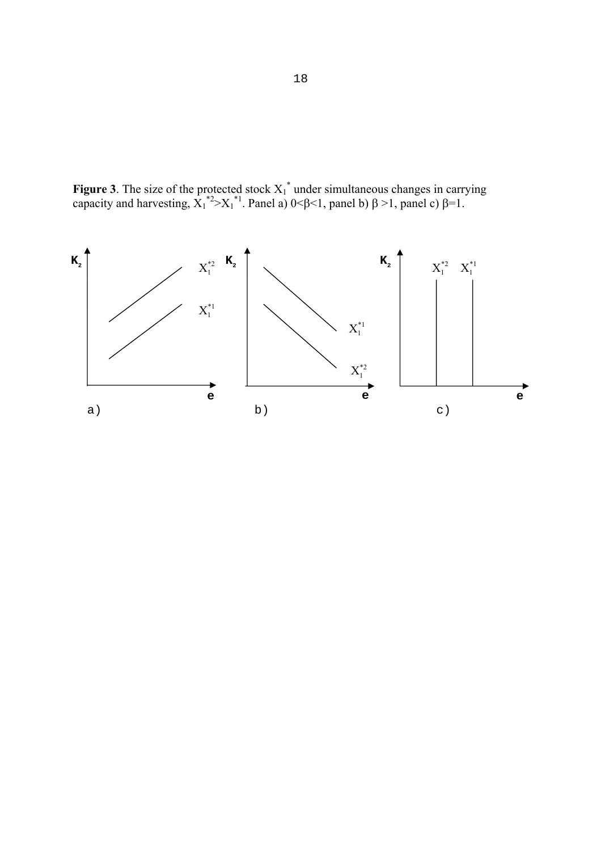**Figure 3**. The size of the protected stock  $X_1^*$  under simultaneous changes in carrying capacity and harvesting,  $\hat{X_1}^{*2} > X_1^{*1}$ . Panel a) 0<β <1, panel b)  $\beta > 1$ , panel c)  $\beta = 1$ .